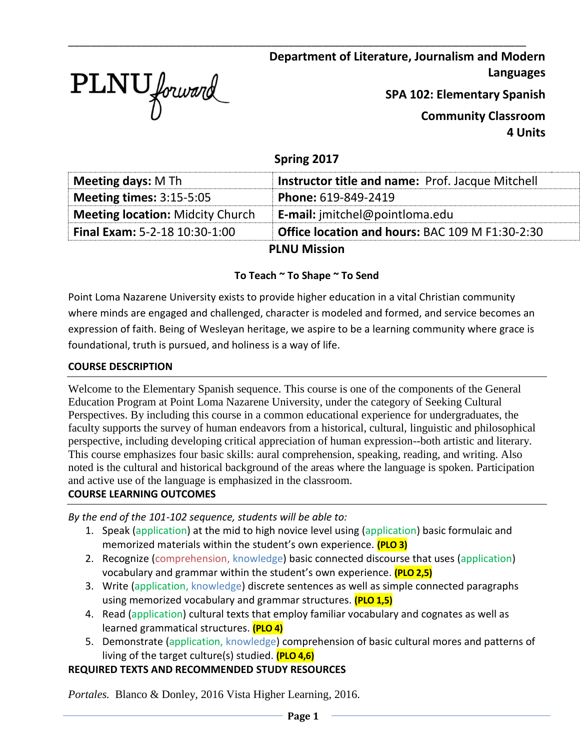

**Department of Literature, Journalism and Modern Languages**

**SPA 102: Elementary Spanish**

**Community Classroom 4 Units**

# **Spring 2017**

\_\_\_\_\_\_\_\_\_\_\_\_\_\_\_\_\_\_\_\_\_\_\_\_\_\_\_\_\_\_\_\_\_\_\_\_\_\_\_\_\_\_\_\_\_\_\_\_\_\_\_\_\_\_\_\_\_\_\_\_\_\_\_\_\_\_\_\_\_\_\_\_\_\_\_\_\_\_\_\_\_

| <b>Meeting days: M Th</b>               | <b>Instructor title and name: Prof. Jacque Mitchell</b> |  |
|-----------------------------------------|---------------------------------------------------------|--|
| <b>Meeting times: 3:15-5:05</b>         | Phone: 619-849-2419                                     |  |
| <b>Meeting location: Midcity Church</b> | <b>E-mail:</b> jmitchel@pointloma.edu                   |  |
| <b>Final Exam: 5-2-18 10:30-1:00</b>    | <b>Office location and hours: BAC 109 M F1:30-2:30</b>  |  |
| <b>PLNU Mission</b>                     |                                                         |  |

## **To Teach ~ To Shape ~ To Send**

Point Loma Nazarene University exists to provide higher education in a vital Christian community where minds are engaged and challenged, character is modeled and formed, and service becomes an expression of faith. Being of Wesleyan heritage, we aspire to be a learning community where grace is foundational, truth is pursued, and holiness is a way of life.

#### **COURSE DESCRIPTION**

Welcome to the Elementary Spanish sequence. This course is one of the components of the General Education Program at Point Loma Nazarene University, under the category of Seeking Cultural Perspectives. By including this course in a common educational experience for undergraduates, the faculty supports the survey of human endeavors from a historical, cultural, linguistic and philosophical perspective, including developing critical appreciation of human expression--both artistic and literary. This course emphasizes four basic skills: aural comprehension, speaking, reading, and writing. Also noted is the cultural and historical background of the areas where the language is spoken. Participation and active use of the language is emphasized in the classroom.

### **COURSE LEARNING OUTCOMES**

*By the end of the 101-102 sequence, students will be able to:*

- 1. Speak (application) at the mid to high novice level using (application) basic formulaic and memorized materials within the student's own experience. **(PLO 3)**
- 2. Recognize (comprehension, knowledge) basic connected discourse that uses (application) vocabulary and grammar within the student's own experience. **(PLO 2,5)**
- 3. Write (application, knowledge) discrete sentences as well as simple connected paragraphs using memorized vocabulary and grammar structures. **(PLO 1,5)**
- 4. Read (application) cultural texts that employ familiar vocabulary and cognates as well as learned grammatical structures. **(PLO 4)**
- 5. Demonstrate (application, knowledge) comprehension of basic cultural mores and patterns of living of the target culture(s) studied. **(PLO 4,6)**

### **REQUIRED TEXTS AND RECOMMENDED STUDY RESOURCES**

*Portales.* Blanco & Donley, 2016 Vista Higher Learning, 2016.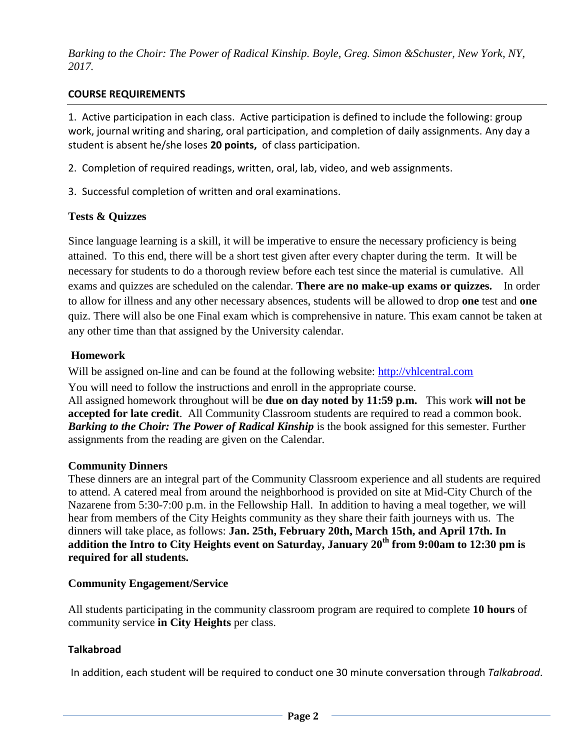*Barking to the Choir: The Power of Radical Kinship. Boyle, Greg. Simon &Schuster, New York, NY, 2017.*

## **COURSE REQUIREMENTS**

1. Active participation in each class. Active participation is defined to include the following: group work, journal writing and sharing, oral participation, and completion of daily assignments. Any day a student is absent he/she loses **20 points,** of class participation.

- 2. Completion of required readings, written, oral, lab, video, and web assignments.
- 3. Successful completion of written and oral examinations.

## **Tests & Quizzes**

Since language learning is a skill, it will be imperative to ensure the necessary proficiency is being attained. To this end, there will be a short test given after every chapter during the term. It will be necessary for students to do a thorough review before each test since the material is cumulative. All exams and quizzes are scheduled on the calendar. **There are no make-up exams or quizzes.** In order to allow for illness and any other necessary absences, students will be allowed to drop **one** test and **one** quiz. There will also be one Final exam which is comprehensive in nature. This exam cannot be taken at any other time than that assigned by the University calendar.

## **Homework**

Will be assigned on-line and can be found at the following website: [http://vhlcentral.com](http://vhlcentral.com/)

You will need to follow the instructions and enroll in the appropriate course.

All assigned homework throughout will be **due on day noted by 11:59 p.m.** This work **will not be accepted for late credit**. All Community Classroom students are required to read a common book. *Barking to the Choir: The Power of Radical Kinship* is the book assigned for this semester. Further assignments from the reading are given on the Calendar.

### **Community Dinners**

These dinners are an integral part of the Community Classroom experience and all students are required to attend. A catered meal from around the neighborhood is provided on site at Mid-City Church of the Nazarene from 5:30-7:00 p.m. in the Fellowship Hall. In addition to having a meal together, we will hear from members of the City Heights community as they share their faith journeys with us. The dinners will take place, as follows: **Jan. 25th, February 20th, March 15th, and April 17th. In addition the Intro to City Heights event on Saturday, January 20th from 9:00am to 12:30 pm is required for all students.** 

### **Community Engagement/Service**

All students participating in the community classroom program are required to complete **10 hours** of community service **in City Heights** per class.

### **Talkabroad**

In addition, each student will be required to conduct one 30 minute conversation through *Talkabroad*.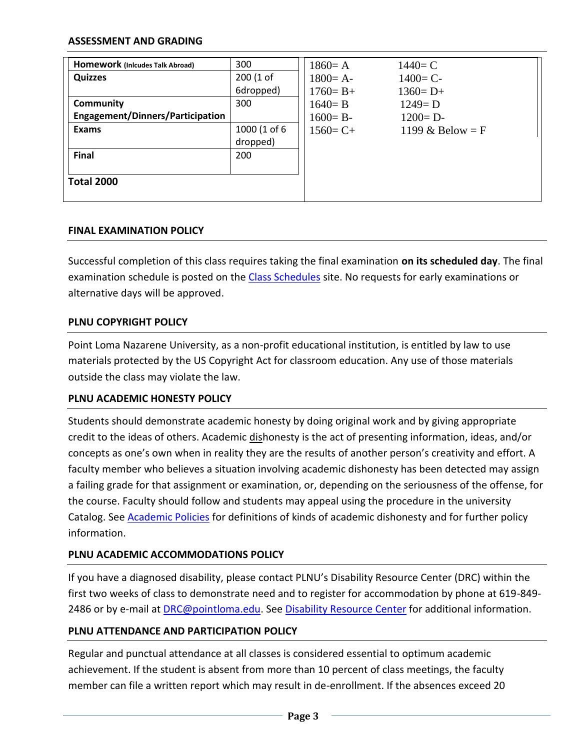#### **ASSESSMENT AND GRADING**

| Homework (Inicudes Talk Abroad)         | 300          | $1860 = A$   | $1440 = C$         |
|-----------------------------------------|--------------|--------------|--------------------|
| <b>Quizzes</b>                          | 200 (1 of    | $1800 = A -$ | $1400 = C -$       |
|                                         | 6dropped)    | $1760 = B +$ | $1360 = D+$        |
| Community                               | 300          | $1640 = B$   | $1249 = D$         |
| <b>Engagement/Dinners/Participation</b> |              | $1600 = B -$ | $1200 = D -$       |
| <b>Exams</b>                            | 1000 (1 of 6 | $1560 = C +$ | 1199 & Below = $F$ |
|                                         | dropped)     |              |                    |
| <b>Final</b>                            | 200          |              |                    |
|                                         |              |              |                    |
| <b>Total 2000</b>                       |              |              |                    |
|                                         |              |              |                    |

#### **FINAL EXAMINATION POLICY**

Successful completion of this class requires taking the final examination **on its scheduled day**. The final examination schedule is posted on the [Class Schedules](http://www.pointloma.edu/experience/academics/class-schedules) site. No requests for early examinations or alternative days will be approved.

### **PLNU COPYRIGHT POLICY**

Point Loma Nazarene University, as a non-profit educational institution, is entitled by law to use materials protected by the US Copyright Act for classroom education. Any use of those materials outside the class may violate the law.

#### **PLNU ACADEMIC HONESTY POLICY**

Students should demonstrate academic honesty by doing original work and by giving appropriate credit to the ideas of others. Academic dishonesty is the act of presenting information, ideas, and/or concepts as one's own when in reality they are the results of another person's creativity and effort. A faculty member who believes a situation involving academic dishonesty has been detected may assign a failing grade for that assignment or examination, or, depending on the seriousness of the offense, for the course. Faculty should follow and students may appeal using the procedure in the university Catalog. See [Academic Policies](http://catalog.pointloma.edu/content.php?catoid=18&navoid=1278) for definitions of kinds of academic dishonesty and for further policy information.

### **PLNU ACADEMIC ACCOMMODATIONS POLICY**

If you have a diagnosed disability, please contact PLNU's Disability Resource Center (DRC) within the first two weeks of class to demonstrate need and to register for accommodation by phone at 619-849- 2486 or by e-mail at [DRC@pointloma.edu.](mailto:DRC@pointloma.edu) See [Disability Resource Center](http://www.pointloma.edu/experience/offices/administrative-offices/academic-advising-office/disability-resource-center) for additional information.

#### **PLNU ATTENDANCE AND PARTICIPATION POLICY**

Regular and punctual attendance at all classes is considered essential to optimum academic achievement. If the student is absent from more than 10 percent of class meetings, the faculty member can file a written report which may result in de-enrollment. If the absences exceed 20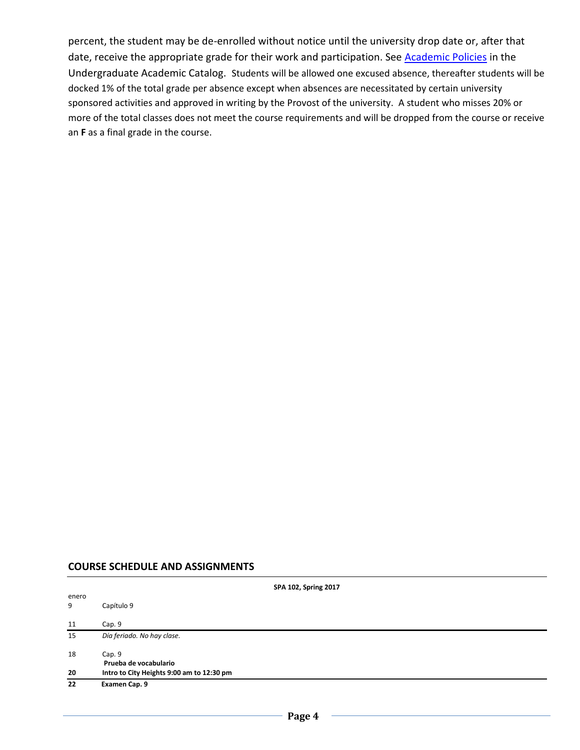percent, the student may be de-enrolled without notice until the university drop date or, after that date, receive the appropriate grade for their work and participation. See **Academic Policies** in the Undergraduate Academic Catalog. Students will be allowed one excused absence, thereafter students will be docked 1% of the total grade per absence except when absences are necessitated by certain university sponsored activities and approved in writing by the Provost of the university. A student who misses 20% or more of the total classes does not meet the course requirements and will be dropped from the course or receive an **F** as a final grade in the course.

#### **COURSE SCHEDULE AND ASSIGNMENTS**

| SPA 102, Spring 2017 |                                           |  |  |  |
|----------------------|-------------------------------------------|--|--|--|
| enero<br>9           | Capítulo 9                                |  |  |  |
| 11                   | Cap. 9                                    |  |  |  |
| 15                   | Día feriado. No hay clase.                |  |  |  |
| 18                   | Cap. 9<br>Prueba de vocabulario           |  |  |  |
| 20                   | Intro to City Heights 9:00 am to 12:30 pm |  |  |  |
| 22                   | Examen Cap. 9                             |  |  |  |